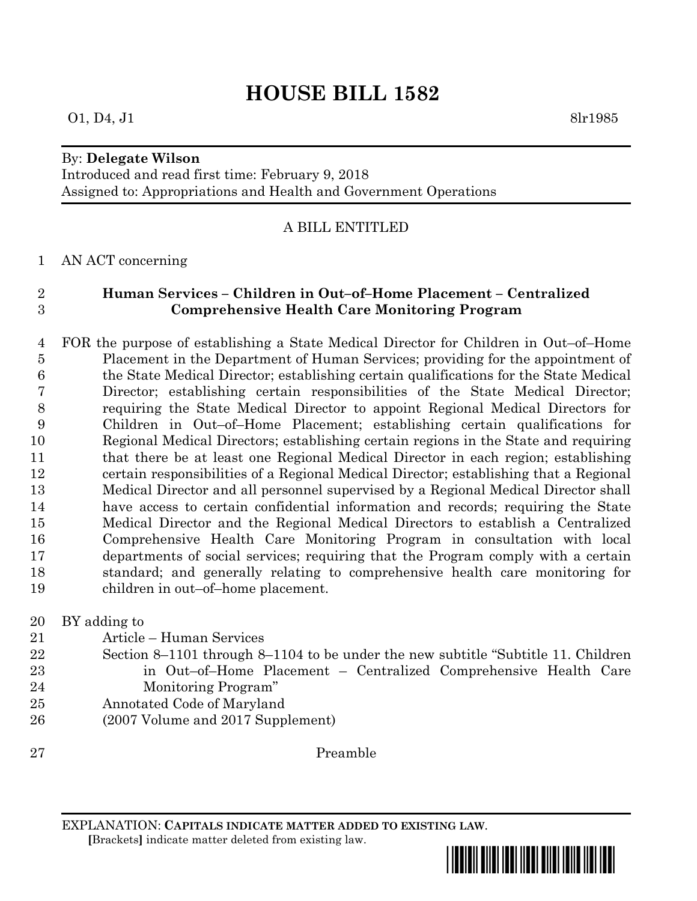# **HOUSE BILL 1582**

## By: **Delegate Wilson**

Introduced and read first time: February 9, 2018 Assigned to: Appropriations and Health and Government Operations

# A BILL ENTITLED

## AN ACT concerning

# **Human Services – Children in Out–of–Home Placement – Centralized Comprehensive Health Care Monitoring Program**

 FOR the purpose of establishing a State Medical Director for Children in Out–of–Home Placement in the Department of Human Services; providing for the appointment of the State Medical Director; establishing certain qualifications for the State Medical Director; establishing certain responsibilities of the State Medical Director; requiring the State Medical Director to appoint Regional Medical Directors for Children in Out–of–Home Placement; establishing certain qualifications for Regional Medical Directors; establishing certain regions in the State and requiring that there be at least one Regional Medical Director in each region; establishing certain responsibilities of a Regional Medical Director; establishing that a Regional Medical Director and all personnel supervised by a Regional Medical Director shall have access to certain confidential information and records; requiring the State Medical Director and the Regional Medical Directors to establish a Centralized Comprehensive Health Care Monitoring Program in consultation with local departments of social services; requiring that the Program comply with a certain standard; and generally relating to comprehensive health care monitoring for children in out–of–home placement.

BY adding to

- Article Human Services
- Section 8–1101 through 8–1104 to be under the new subtitle "Subtitle 11. Children in Out–of–Home Placement – Centralized Comprehensive Health Care Monitoring Program"
- Annotated Code of Maryland
- (2007 Volume and 2017 Supplement)

Preamble

EXPLANATION: **CAPITALS INDICATE MATTER ADDED TO EXISTING LAW**.

 **[**Brackets**]** indicate matter deleted from existing law.



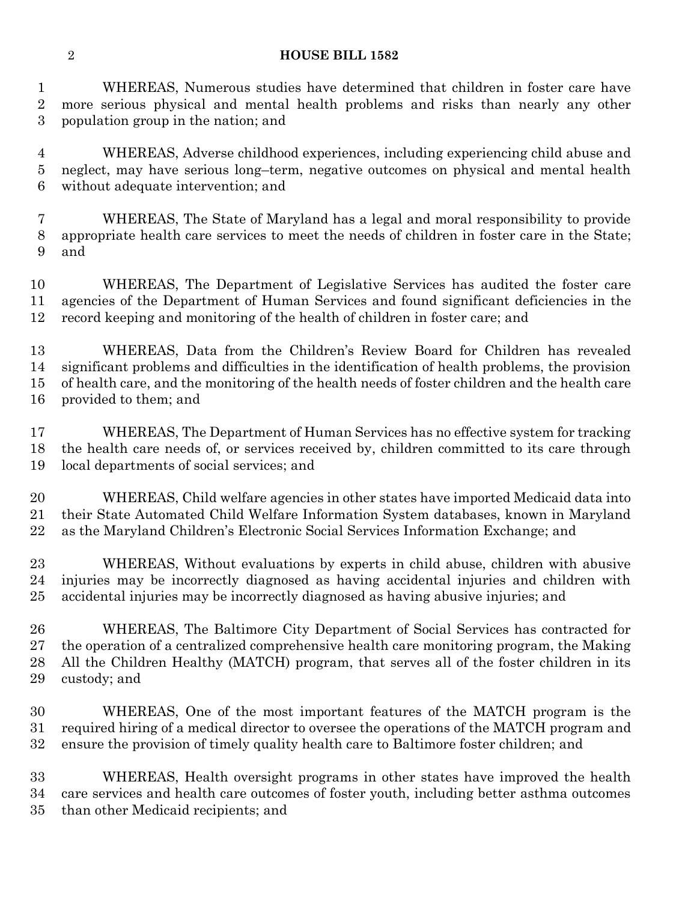#### **HOUSE BILL 1582**

 WHEREAS, Numerous studies have determined that children in foster care have more serious physical and mental health problems and risks than nearly any other population group in the nation; and

 WHEREAS, Adverse childhood experiences, including experiencing child abuse and neglect, may have serious long–term, negative outcomes on physical and mental health without adequate intervention; and

 WHEREAS, The State of Maryland has a legal and moral responsibility to provide appropriate health care services to meet the needs of children in foster care in the State; and

 WHEREAS, The Department of Legislative Services has audited the foster care agencies of the Department of Human Services and found significant deficiencies in the record keeping and monitoring of the health of children in foster care; and

 WHEREAS, Data from the Children's Review Board for Children has revealed significant problems and difficulties in the identification of health problems, the provision of health care, and the monitoring of the health needs of foster children and the health care provided to them; and

 WHEREAS, The Department of Human Services has no effective system for tracking the health care needs of, or services received by, children committed to its care through local departments of social services; and

 WHEREAS, Child welfare agencies in other states have imported Medicaid data into their State Automated Child Welfare Information System databases, known in Maryland as the Maryland Children's Electronic Social Services Information Exchange; and

 WHEREAS, Without evaluations by experts in child abuse, children with abusive injuries may be incorrectly diagnosed as having accidental injuries and children with accidental injuries may be incorrectly diagnosed as having abusive injuries; and

 WHEREAS, The Baltimore City Department of Social Services has contracted for the operation of a centralized comprehensive health care monitoring program, the Making All the Children Healthy (MATCH) program, that serves all of the foster children in its custody; and

 WHEREAS, One of the most important features of the MATCH program is the required hiring of a medical director to oversee the operations of the MATCH program and ensure the provision of timely quality health care to Baltimore foster children; and

 WHEREAS, Health oversight programs in other states have improved the health care services and health care outcomes of foster youth, including better asthma outcomes than other Medicaid recipients; and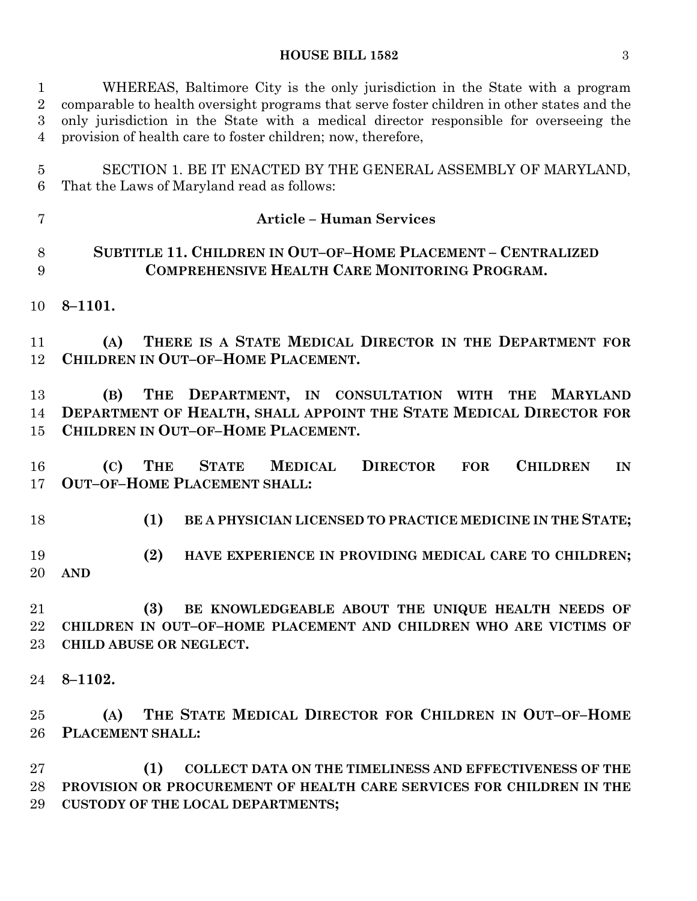#### **HOUSE BILL 1582** 3

 WHEREAS, Baltimore City is the only jurisdiction in the State with a program comparable to health oversight programs that serve foster children in other states and the only jurisdiction in the State with a medical director responsible for overseeing the provision of health care to foster children; now, therefore,

 SECTION 1. BE IT ENACTED BY THE GENERAL ASSEMBLY OF MARYLAND, That the Laws of Maryland read as follows:

 **SUBTITLE 11. CHILDREN IN OUT–OF–HOME PLACEMENT – CENTRALIZED COMPREHENSIVE HEALTH CARE MONITORING PROGRAM.**

**Article – Human Services**

**8–1101.**

 **(A) THERE IS A STATE MEDICAL DIRECTOR IN THE DEPARTMENT FOR CHILDREN IN OUT–OF–HOME PLACEMENT.**

 **(B) THE DEPARTMENT, IN CONSULTATION WITH THE MARYLAND DEPARTMENT OF HEALTH, SHALL APPOINT THE STATE MEDICAL DIRECTOR FOR CHILDREN IN OUT–OF–HOME PLACEMENT.**

 **(C) THE STATE MEDICAL DIRECTOR FOR CHILDREN IN OUT–OF–HOME PLACEMENT SHALL:**

**(1) BE A PHYSICIAN LICENSED TO PRACTICE MEDICINE IN THE STATE;**

 **(2) HAVE EXPERIENCE IN PROVIDING MEDICAL CARE TO CHILDREN; AND** 

 **(3) BE KNOWLEDGEABLE ABOUT THE UNIQUE HEALTH NEEDS OF CHILDREN IN OUT–OF–HOME PLACEMENT AND CHILDREN WHO ARE VICTIMS OF CHILD ABUSE OR NEGLECT.**

**8–1102.**

 **(A) THE STATE MEDICAL DIRECTOR FOR CHILDREN IN OUT–OF–HOME PLACEMENT SHALL:**

 **(1) COLLECT DATA ON THE TIMELINESS AND EFFECTIVENESS OF THE PROVISION OR PROCUREMENT OF HEALTH CARE SERVICES FOR CHILDREN IN THE CUSTODY OF THE LOCAL DEPARTMENTS;**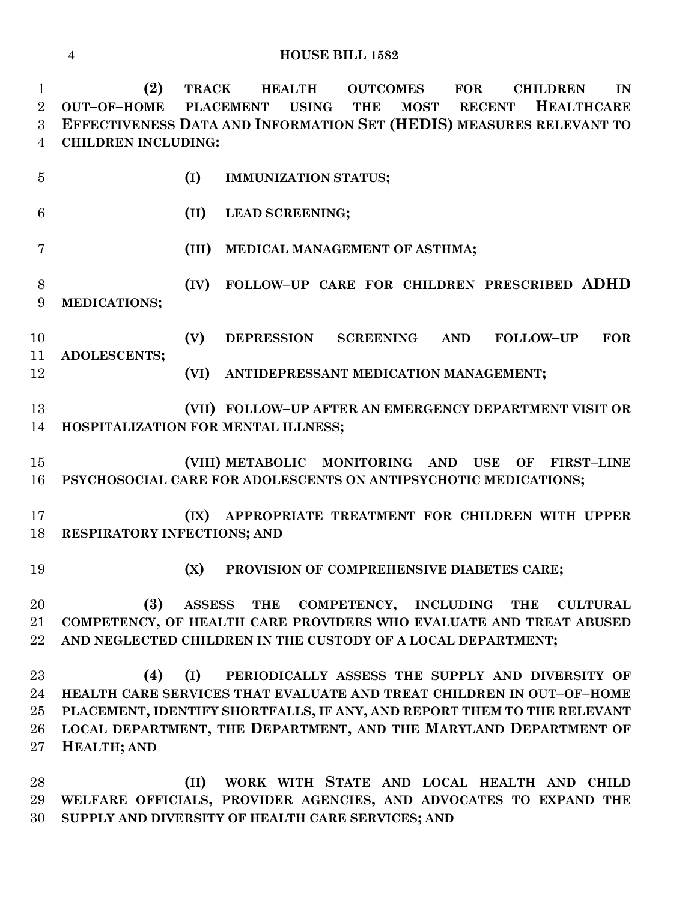**HOUSE BILL 1582**

 **(2) TRACK HEALTH OUTCOMES FOR CHILDREN IN OUT–OF–HOME PLACEMENT USING THE MOST RECENT HEALTHCARE EFFECTIVENESS DATA AND INFORMATION SET (HEDIS) MEASURES RELEVANT TO CHILDREN INCLUDING:**

 **(I) IMMUNIZATION STATUS; (II) LEAD SCREENING; (III) MEDICAL MANAGEMENT OF ASTHMA; (IV) FOLLOW–UP CARE FOR CHILDREN PRESCRIBED ADHD MEDICATIONS; (V) DEPRESSION SCREENING AND FOLLOW–UP FOR ADOLESCENTS; (VI) ANTIDEPRESSANT MEDICATION MANAGEMENT; (VII) FOLLOW–UP AFTER AN EMERGENCY DEPARTMENT VISIT OR HOSPITALIZATION FOR MENTAL ILLNESS; (VIII) METABOLIC MONITORING AND USE OF FIRST–LINE PSYCHOSOCIAL CARE FOR ADOLESCENTS ON ANTIPSYCHOTIC MEDICATIONS; (IX) APPROPRIATE TREATMENT FOR CHILDREN WITH UPPER RESPIRATORY INFECTIONS; AND (X) PROVISION OF COMPREHENSIVE DIABETES CARE; (3) ASSESS THE COMPETENCY, INCLUDING THE CULTURAL COMPETENCY, OF HEALTH CARE PROVIDERS WHO EVALUATE AND TREAT ABUSED AND NEGLECTED CHILDREN IN THE CUSTODY OF A LOCAL DEPARTMENT; (4) (I) PERIODICALLY ASSESS THE SUPPLY AND DIVERSITY OF HEALTH CARE SERVICES THAT EVALUATE AND TREAT CHILDREN IN OUT–OF–HOME PLACEMENT, IDENTIFY SHORTFALLS, IF ANY, AND REPORT THEM TO THE RELEVANT LOCAL DEPARTMENT, THE DEPARTMENT, AND THE MARYLAND DEPARTMENT OF HEALTH; AND (II) WORK WITH STATE AND LOCAL HEALTH AND CHILD** 

 **WELFARE OFFICIALS, PROVIDER AGENCIES, AND ADVOCATES TO EXPAND THE SUPPLY AND DIVERSITY OF HEALTH CARE SERVICES; AND**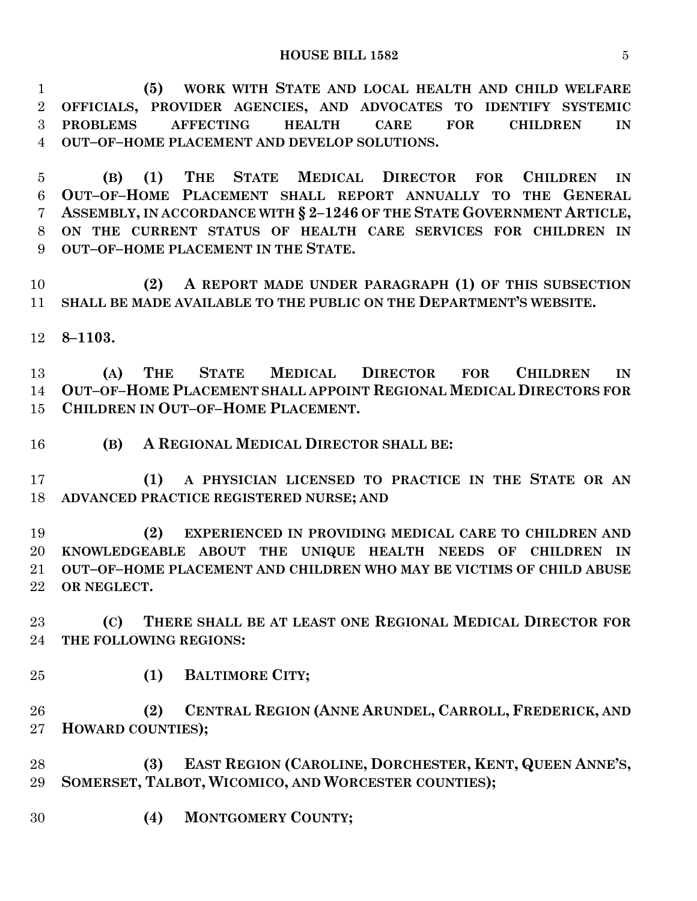**(5) WORK WITH STATE AND LOCAL HEALTH AND CHILD WELFARE OFFICIALS, PROVIDER AGENCIES, AND ADVOCATES TO IDENTIFY SYSTEMIC PROBLEMS AFFECTING HEALTH CARE FOR CHILDREN IN OUT–OF–HOME PLACEMENT AND DEVELOP SOLUTIONS.**

 **(B) (1) THE STATE MEDICAL DIRECTOR FOR CHILDREN IN OUT–OF–HOME PLACEMENT SHALL REPORT ANNUALLY TO THE GENERAL ASSEMBLY, IN ACCORDANCE WITH § 2–1246 OF THE STATE GOVERNMENT ARTICLE, ON THE CURRENT STATUS OF HEALTH CARE SERVICES FOR CHILDREN IN OUT–OF–HOME PLACEMENT IN THE STATE.**

 **(2) A REPORT MADE UNDER PARAGRAPH (1) OF THIS SUBSECTION SHALL BE MADE AVAILABLE TO THE PUBLIC ON THE DEPARTMENT'S WEBSITE.**

**8–1103.**

 **(A) THE STATE MEDICAL DIRECTOR FOR CHILDREN IN OUT–OF–HOME PLACEMENT SHALL APPOINT REGIONAL MEDICAL DIRECTORS FOR CHILDREN IN OUT–OF–HOME PLACEMENT.**

**(B) A REGIONAL MEDICAL DIRECTOR SHALL BE:**

 **(1) A PHYSICIAN LICENSED TO PRACTICE IN THE STATE OR AN ADVANCED PRACTICE REGISTERED NURSE; AND** 

 **(2) EXPERIENCED IN PROVIDING MEDICAL CARE TO CHILDREN AND KNOWLEDGEABLE ABOUT THE UNIQUE HEALTH NEEDS OF CHILDREN IN OUT–OF–HOME PLACEMENT AND CHILDREN WHO MAY BE VICTIMS OF CHILD ABUSE OR NEGLECT.**

 **(C) THERE SHALL BE AT LEAST ONE REGIONAL MEDICAL DIRECTOR FOR THE FOLLOWING REGIONS:**

**(1) BALTIMORE CITY;**

 **(2) CENTRAL REGION (ANNE ARUNDEL, CARROLL, FREDERICK, AND HOWARD COUNTIES);**

 **(3) EAST REGION (CAROLINE, DORCHESTER, KENT, QUEEN ANNE'S, SOMERSET, TALBOT, WICOMICO, AND WORCESTER COUNTIES);**

**(4) MONTGOMERY COUNTY;**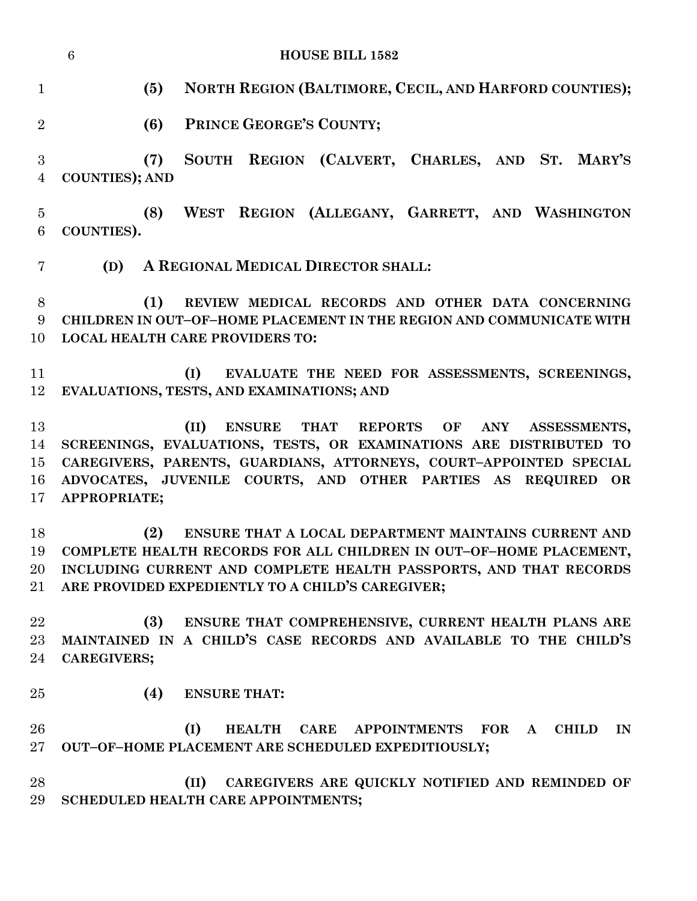|                              | $6\phantom{.}6$<br><b>HOUSE BILL 1582</b> |                                                                                                                                                                                                                                                                                |  |
|------------------------------|-------------------------------------------|--------------------------------------------------------------------------------------------------------------------------------------------------------------------------------------------------------------------------------------------------------------------------------|--|
| $\mathbf{1}$                 | (5)                                       | NORTH REGION (BALTIMORE, CECIL, AND HARFORD COUNTIES);                                                                                                                                                                                                                         |  |
| $\overline{2}$               | (6)                                       | PRINCE GEORGE'S COUNTY;                                                                                                                                                                                                                                                        |  |
| $\sqrt{3}$<br>$\overline{4}$ | (7)<br><b>COUNTIES); AND</b>              | SOUTH REGION (CALVERT, CHARLES, AND ST. MARY'S                                                                                                                                                                                                                                 |  |
| $\overline{5}$<br>6          | (8)<br>COUNTIES).                         | WEST REGION (ALLEGANY, GARRETT, AND WASHINGTON                                                                                                                                                                                                                                 |  |
| 7                            | (D)                                       | A REGIONAL MEDICAL DIRECTOR SHALL:                                                                                                                                                                                                                                             |  |
| 8<br>9<br>10                 | (1)                                       | REVIEW MEDICAL RECORDS AND OTHER DATA CONCERNING<br>CHILDREN IN OUT-OF-HOME PLACEMENT IN THE REGION AND COMMUNICATE WITH<br><b>LOCAL HEALTH CARE PROVIDERS TO:</b>                                                                                                             |  |
| 11<br>12                     |                                           | (I)<br>EVALUATE THE NEED FOR ASSESSMENTS, SCREENINGS,<br>EVALUATIONS, TESTS, AND EXAMINATIONS; AND                                                                                                                                                                             |  |
| 13<br>14<br>15<br>16<br>17   | APPROPRIATE;                              | (II)<br>THAT REPORTS<br><b>ENSURE</b><br>OF<br>ANY<br>ASSESSMENTS,<br>SCREENINGS, EVALUATIONS, TESTS, OR EXAMINATIONS ARE DISTRIBUTED TO<br>CAREGIVERS, PARENTS, GUARDIANS, ATTORNEYS, COURT-APPOINTED SPECIAL<br>ADVOCATES, JUVENILE COURTS, AND OTHER PARTIES AS REQUIRED OR |  |
| 18<br>19<br>21               | (2)                                       | ENSURE THAT A LOCAL DEPARTMENT MAINTAINS CURRENT AND<br>COMPLETE HEALTH RECORDS FOR ALL CHILDREN IN OUT-OF-HOME PLACEMENT,<br>20 INCLUDING CURRENT AND COMPLETE HEALTH PASSPORTS, AND THAT RECORDS<br>ARE PROVIDED EXPEDIENTLY TO A CHILD'S CAREGIVER;                         |  |
| 22<br>23<br>24               | (3)<br><b>CAREGIVERS;</b>                 | ENSURE THAT COMPREHENSIVE, CURRENT HEALTH PLANS ARE<br>MAINTAINED IN A CHILD'S CASE RECORDS AND AVAILABLE TO THE CHILD'S                                                                                                                                                       |  |
| 25                           | (4)                                       | <b>ENSURE THAT:</b>                                                                                                                                                                                                                                                            |  |
| 26<br>$27\,$                 |                                           | (I)<br>HEALTH CARE APPOINTMENTS FOR A CHILD<br>IN<br>OUT-OF-HOME PLACEMENT ARE SCHEDULED EXPEDITIOUSLY;                                                                                                                                                                        |  |
| 28<br>29                     |                                           | (II) CAREGIVERS ARE QUICKLY NOTIFIED AND REMINDED OF<br>SCHEDULED HEALTH CARE APPOINTMENTS;                                                                                                                                                                                    |  |
|                              |                                           |                                                                                                                                                                                                                                                                                |  |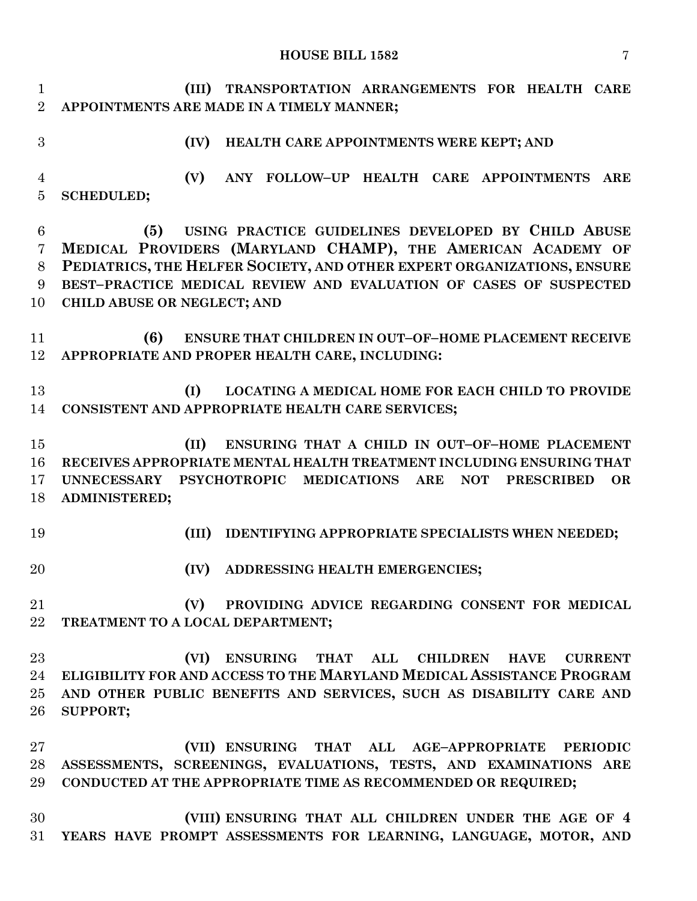#### **HOUSE BILL 1582** 7

 **(III) TRANSPORTATION ARRANGEMENTS FOR HEALTH CARE APPOINTMENTS ARE MADE IN A TIMELY MANNER;**

## **(IV) HEALTH CARE APPOINTMENTS WERE KEPT; AND**

 **(V) ANY FOLLOW–UP HEALTH CARE APPOINTMENTS ARE SCHEDULED;**

 **(5) USING PRACTICE GUIDELINES DEVELOPED BY CHILD ABUSE MEDICAL PROVIDERS (MARYLAND CHAMP), THE AMERICAN ACADEMY OF PEDIATRICS, THE HELFER SOCIETY, AND OTHER EXPERT ORGANIZATIONS, ENSURE BEST–PRACTICE MEDICAL REVIEW AND EVALUATION OF CASES OF SUSPECTED CHILD ABUSE OR NEGLECT; AND**

 **(6) ENSURE THAT CHILDREN IN OUT–OF–HOME PLACEMENT RECEIVE APPROPRIATE AND PROPER HEALTH CARE, INCLUDING:**

 **(I) LOCATING A MEDICAL HOME FOR EACH CHILD TO PROVIDE CONSISTENT AND APPROPRIATE HEALTH CARE SERVICES;**

 **(II) ENSURING THAT A CHILD IN OUT–OF–HOME PLACEMENT RECEIVES APPROPRIATE MENTAL HEALTH TREATMENT INCLUDING ENSURING THAT UNNECESSARY PSYCHOTROPIC MEDICATIONS ARE NOT PRESCRIBED OR ADMINISTERED;**

- 
- **(III) IDENTIFYING APPROPRIATE SPECIALISTS WHEN NEEDED;**
- **(IV) ADDRESSING HEALTH EMERGENCIES;**

 **(V) PROVIDING ADVICE REGARDING CONSENT FOR MEDICAL TREATMENT TO A LOCAL DEPARTMENT;**

 **(VI) ENSURING THAT ALL CHILDREN HAVE CURRENT ELIGIBILITY FOR AND ACCESS TO THE MARYLAND MEDICAL ASSISTANCE PROGRAM AND OTHER PUBLIC BENEFITS AND SERVICES, SUCH AS DISABILITY CARE AND SUPPORT;**

 **(VII) ENSURING THAT ALL AGE–APPROPRIATE PERIODIC ASSESSMENTS, SCREENINGS, EVALUATIONS, TESTS, AND EXAMINATIONS ARE CONDUCTED AT THE APPROPRIATE TIME AS RECOMMENDED OR REQUIRED;**

 **(VIII) ENSURING THAT ALL CHILDREN UNDER THE AGE OF 4 YEARS HAVE PROMPT ASSESSMENTS FOR LEARNING, LANGUAGE, MOTOR, AND**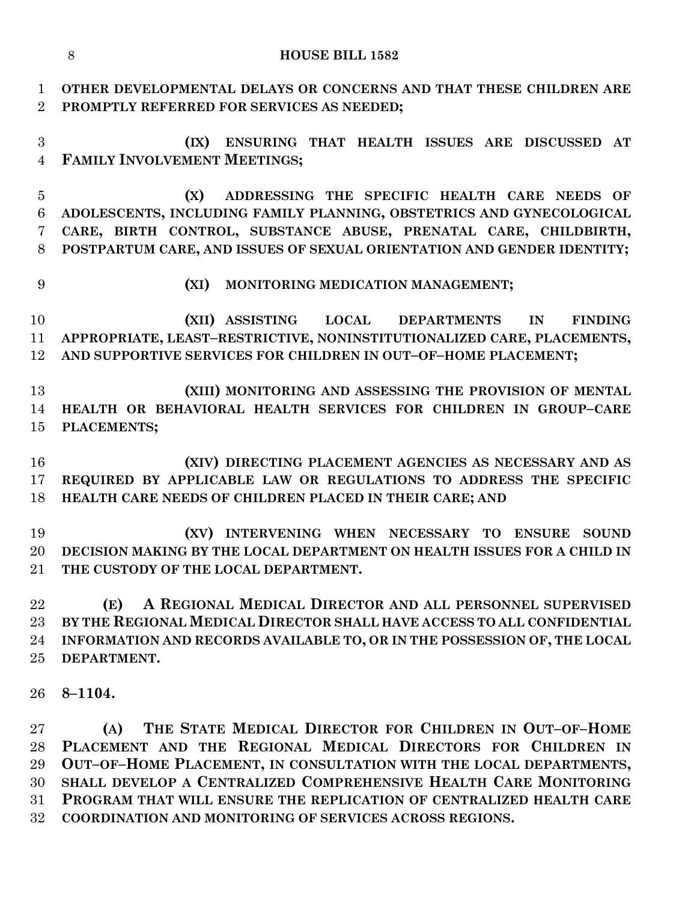| $\mathbf{1}$<br>$\overline{2}$ | OTHER DEVELOPMENTAL DELAYS OR CONCERNS AND THAT THESE CHILDREN ARE<br>PROMPTLY REFERRED FOR SERVICES AS NEEDED;                                                                                                                                                                                                                                |  |
|--------------------------------|------------------------------------------------------------------------------------------------------------------------------------------------------------------------------------------------------------------------------------------------------------------------------------------------------------------------------------------------|--|
| 3<br>$\overline{4}$            | ENSURING THAT HEALTH ISSUES ARE DISCUSSED AT<br>(IX)<br>FAMILY INVOLVEMENT MEETINGS;                                                                                                                                                                                                                                                           |  |
| $\bf 5$<br>$\,6$<br>7<br>8     | ADDRESSING THE SPECIFIC HEALTH CARE NEEDS OF<br>(X)<br>ADOLESCENTS, INCLUDING FAMILY PLANNING, OBSTETRICS AND GYNECOLOGICAL<br>CARE, BIRTH CONTROL, SUBSTANCE ABUSE, PRENATAL CARE, CHILDBIRTH,<br>POSTPARTUM CARE, AND ISSUES OF SEXUAL ORIENTATION AND GENDER IDENTITY;                                                                      |  |
| 9                              | (XI)<br>MONITORING MEDICATION MANAGEMENT;                                                                                                                                                                                                                                                                                                      |  |
| 10<br>11<br>12                 | (XII) ASSISTING LOCAL DEPARTMENTS<br>IN<br><b>FINDING</b><br>APPROPRIATE, LEAST-RESTRICTIVE, NONINSTITUTIONALIZED CARE, PLACEMENTS,<br>AND SUPPORTIVE SERVICES FOR CHILDREN IN OUT-OF-HOME PLACEMENT;                                                                                                                                          |  |
| 13<br>14<br>15                 | (XIII) MONITORING AND ASSESSING THE PROVISION OF MENTAL<br>HEALTH OR BEHAVIORAL HEALTH SERVICES FOR CHILDREN IN GROUP-CARE<br>PLACEMENTS;                                                                                                                                                                                                      |  |
| 16<br>17<br>18                 | (XIV) DIRECTING PLACEMENT AGENCIES AS NECESSARY AND AS<br>REQUIRED BY APPLICABLE LAW OR REGULATIONS TO ADDRESS THE SPECIFIC<br>HEALTH CARE NEEDS OF CHILDREN PLACED IN THEIR CARE; AND                                                                                                                                                         |  |
| 19<br>20<br>21                 | (XV) INTERVENING WHEN NECESSARY TO ENSURE<br><b>SOUND</b><br>DECISION MAKING BY THE LOCAL DEPARTMENT ON HEALTH ISSUES FOR A CHILD IN<br>THE CUSTODY OF THE LOCAL DEPARTMENT.                                                                                                                                                                   |  |
| 22<br>23<br>24<br>25           | A REGIONAL MEDICAL DIRECTOR AND ALL PERSONNEL SUPERVISED<br>(E)<br>BY THE REGIONAL MEDICAL DIRECTOR SHALL HAVE ACCESS TO ALL CONFIDENTIAL<br>INFORMATION AND RECORDS AVAILABLE TO, OR IN THE POSSESSION OF, THE LOCAL<br>DEPARTMENT.                                                                                                           |  |
| 26                             | $8 - 1104.$                                                                                                                                                                                                                                                                                                                                    |  |
| 27<br>28<br>29<br>30<br>31     | THE STATE MEDICAL DIRECTOR FOR CHILDREN IN OUT-OF-HOME<br>(A)<br>PLACEMENT AND THE REGIONAL MEDICAL DIRECTORS FOR CHILDREN IN<br>OUT-OF-HOME PLACEMENT, IN CONSULTATION WITH THE LOCAL DEPARTMENTS,<br>SHALL DEVELOP A CENTRALIZED COMPREHENSIVE HEALTH CARE MONITORING<br>PROGRAM THAT WILL ENSURE THE REPLICATION OF CENTRALIZED HEALTH CARE |  |

**COORDINATION AND MONITORING OF SERVICES ACROSS REGIONS.**

#### **HOUSE BILL 1582**